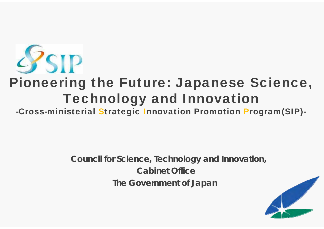

# Pioneering the Future: Japanese Science, Technology and Innovation

-Cross-ministerial Strategic Innovation Promotion Program(SIP)-

**Council for Science, Technology and Innovation, Cabinet OfficeThe Government of Japan**

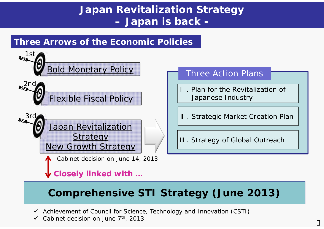## **Japan Revitalization Strategy Japan is back -**

### **Three Arrows of the Economic Policies**



# **Comprehensive STI Strategy (June 2013)**

- Achievement of Council for Science, Technology and Innovation (CSTI)
- $\checkmark$ Cabinet decision on June 7<sup>th</sup>, 2013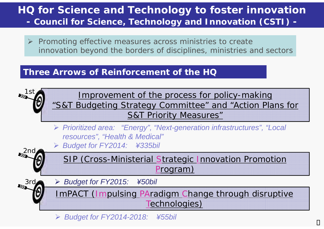### **HQ for Science and Technology to foster innovation Council for Science, Technology and Innovation (CSTI) -**

 *Promoting effective measures across ministries to create innovation beyond the borders of disciplines, ministries and sectors*

### **Three Arrows of Reinforcement of the HQ**



*Budget for FY2014-2018: ¥55bil*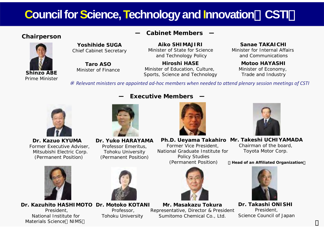# **Council for Science, Technology and Innovation**(**CSTI**)

**Executive Members** 



### **Cabinet Members ― Chairperson**

**Aiko SHIMAJIRI**Minister of State for Scienceand Technology Policy

**Hiroshi HASE**Minister of Education, Culture, Sports, Science and Technology

#### **Sanae TAKAICHI**

Minister for Internal Affairs and Communications

**Motoo HAYASHI**Minister of Economy, Trade and Industry

*Relevant ministers are appointed ad‐hoc members when needed to attend plenary session meetings of CSTI*



**Dr. Kazuo KYUMA**Former Executive Adviser, Mitsubishi Electric Corp. (Permanent Position)



**―**

**Yoshihide SUGA**Chief Cabinet Secretary

**Taro ASO**Minister of Finance

**Dr. Yuko HARAYAMA** Professor Emeritus, Tohoku University (Permanent Position)



**Mr. Takeshi UCHIYAMADAPh.D. Ueyama Takahiro** Former Vice President,

National Graduate Institute for Policy Studies (Permanent Position)

Chairman of the board, Toyota Motor Corp.

#### <sup>&</sup>lt;**Head of an Affiliated Organization**<sup>&</sup>gt;



**Dr. Takashi ONISHI** President, Science Council of Japan



**Dr. Kazuhito HASHIMOTODr. Motoko KOTANI**

President, National Institute for Materials Science NIMS



Professor, Tohoku University



**Mr. Masakazu Tokura**Representative, Director & President Sumitomo Chemical Co., Ltd.

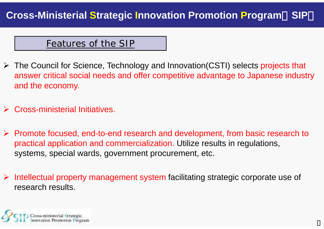### Features of the SIP

- The Council for Science, Technology and Innovation(CSTI) selects projects that answer critical social needs and offer competitive advantage to Japanese industry and the economy.
- $\blacktriangleright$ Cross-ministerial Initiatives.
- Promote focused, end-to-end research and development, from basic research to practical application and commercialization. Utilize results in regulations, systems, special wards, government procurement, etc.
- Intellectual property management system facilitating strategic corporate use of research results.

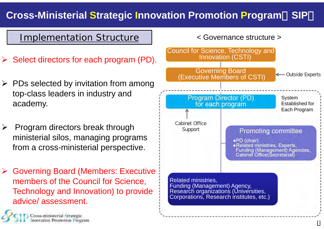### **Cross-Ministerial Strategic Innovation Promotion Program**(**SIP**)

### Implementation Structure

- $\triangleright$  Select directors for each program (PD).
- $\triangleright$  PDs selected by invitation from among top-class leaders in industry and academy.
- $\sum_{i=1}^{n}$  Program directors break through ministerial silos, managing programs from a cross-ministerial perspective.
- **► Governing Board (Members: Executive** members of the Council for Science, Technology and Innovation) to provide advice/ assessment.

Cross-ministerial Strategic<br>Innovation Promotion Program

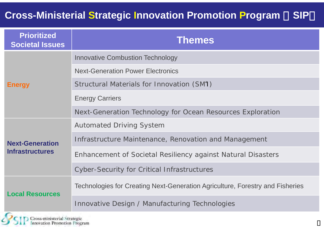### **Cross-Ministerial Strategic Innovation Promotion Program** (**SIP**)

| <b>Prioritized</b><br><b>Societal Issues</b>     | <b>Themes</b>                                                                 |
|--------------------------------------------------|-------------------------------------------------------------------------------|
| <b>Energy</b>                                    | <b>Innovative Combustion Technology</b>                                       |
|                                                  | <b>Next-Generation Power Electronics</b>                                      |
|                                                  | Structural Materials for Innovation (SMI)                                     |
|                                                  | <b>Energy Carriers</b>                                                        |
|                                                  | Next-Generation Technology for Ocean Resources Exploration                    |
| <b>Next-Generation</b><br><b>Infrastructures</b> | <b>Automated Driving System</b>                                               |
|                                                  | Infrastructure Maintenance, Renovation and Management                         |
|                                                  | Enhancement of Societal Resiliency against Natural Disasters                  |
|                                                  | <b>Cyber-Security for Critical Infrastructures</b>                            |
| <b>Local Resources</b>                           | Technologies for Creating Next-Generation Agriculture, Forestry and Fisheries |
|                                                  | Innovative Design / Manufacturing Technologies                                |
| $\Gamma$                                         |                                                                               |

Cross-ministerial Strategic<br>Innovation Promotion Program

c,